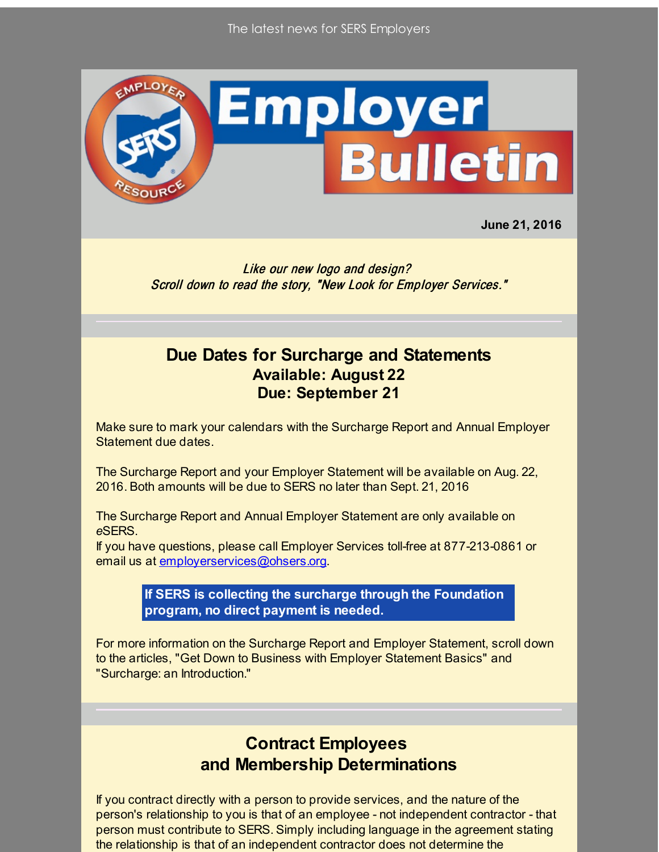

**June 21, 2016**

Like our new logo and design? Scroll down to read the story, "New Look for Employer Services."

## **Due Dates for Surcharge and Statements Available: August 22 Due: September 21**

Make sure to mark your calendars with the Surcharge Report and Annual Employer Statement due dates.

The Surcharge Report and your Employer Statement will be available on Aug. 22, 2016. Both amounts will be due to SERS no later than Sept. 21, 2016

The Surcharge Report and Annual Employer Statement are only available on *e*SERS.

If you have questions, please call Employer Services toll-free at 877-213-0861 or email us at [employerservices@ohsers.org](mailto:employerservices@ohsers.org).

> **If SERS is collecting the surcharge through the Foundation program, no direct payment is needed.**

For more information on the Surcharge Report and Employer Statement, scroll down to the articles, "Get Down to Business with Employer Statement Basics" and "Surcharge: an Introduction."

## **Contract Employees and Membership Determinations**

If you contract directly with a person to provide services, and the nature of the person's relationship to you is that of an employee - not independent contractor - that person must contribute to SERS. Simply including language in the agreement stating the relationship is that of an independent contractor does not determine the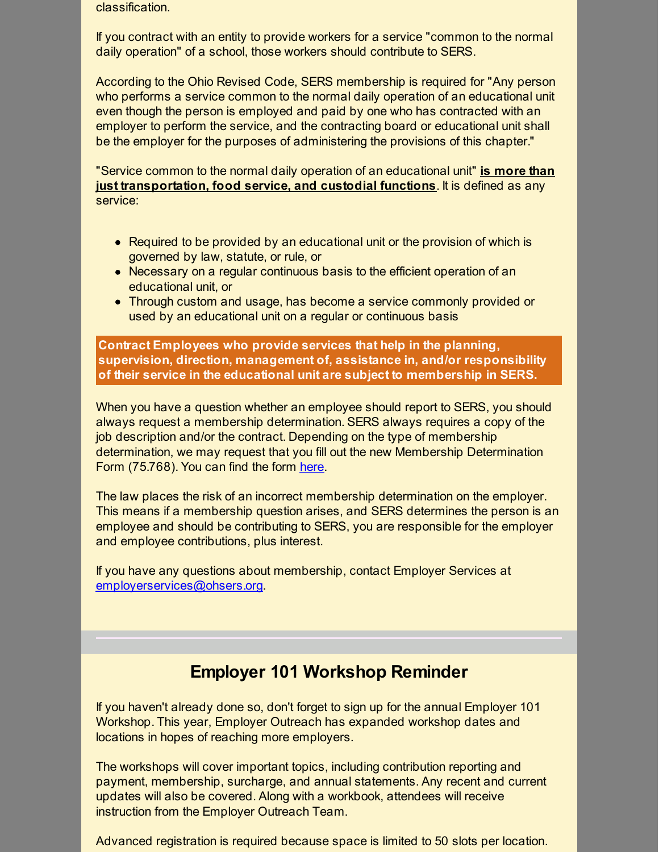classification.

If you contract with an entity to provide workers for a service "common to the normal daily operation" of a school, those workers should contribute to SERS.

According to the Ohio Revised Code, SERS membership is required for "Any person who performs a service common to the normal daily operation of an educational unit even though the person is employed and paid by one who has contracted with an employer to perform the service, and the contracting board or educational unit shall be the employer for the purposes of administering the provisions of this chapter."

"Service common to the normal daily operation of an educational unit" **is more than just transportation, food service, and custodial functions**. It is defined as any service:

- Required to be provided by an educational unit or the provision of which is governed by law, statute, or rule, or
- Necessary on a regular continuous basis to the efficient operation of an educational unit, or
- Through custom and usage, has become a service commonly provided or used by an educational unit on a regular or continuous basis

**Contract Employees who provide services that help in the planning, supervision, direction, management of, assistance in, and/or responsibility of their service in the educational unit are subject to membership in SERS.**

When you have a question whether an employee should report to SERS, you should always request a membership determination. SERS always requires a copy of the job description and/or the contract. Depending on the type of membership determination, we may request that you fill out the new Membership Determination Form (75.768). You can find the form [here](http://r20.rs6.net/tn.jsp?f=001BHyOvUG8k17RBuEQGbfS0GqZ_ji9ZKkUGyyKYygInJRJtp5pFN7JrQQ9O37uX1slcGHPUIqxx2EBMum2ENtgA1G7--1W7uzdIUxYfOVcq4J3ZDQKU6hZE4z7mb33jDqTxdVfCrUE7X-vHh4FDLBDuBYAYQ_zdFq5B6i1ny1nVpnaTOyuPFODf3vzpZkc2BP6&c=&ch=).

The law places the risk of an incorrect membership determination on the employer. This means if a membership question arises, and SERS determines the person is an employee and should be contributing to SERS, you are responsible for the employer and employee contributions, plus interest.

If you have any questions about membership, contact Employer Services at [employerservices@ohsers.org](mailto:employerservices@ohsers.org).

# **Employer 101 Workshop Reminder**

If you haven't already done so, don't forget to sign up for the annual Employer 101 Workshop. This year, Employer Outreach has expanded workshop dates and locations in hopes of reaching more employers.

The workshops will cover important topics, including contribution reporting and payment, membership, surcharge, and annual statements. Any recent and current updates will also be covered. Along with a workbook, attendees will receive instruction from the Employer Outreach Team.

Advanced registration is required because space is limited to 50 slots per location.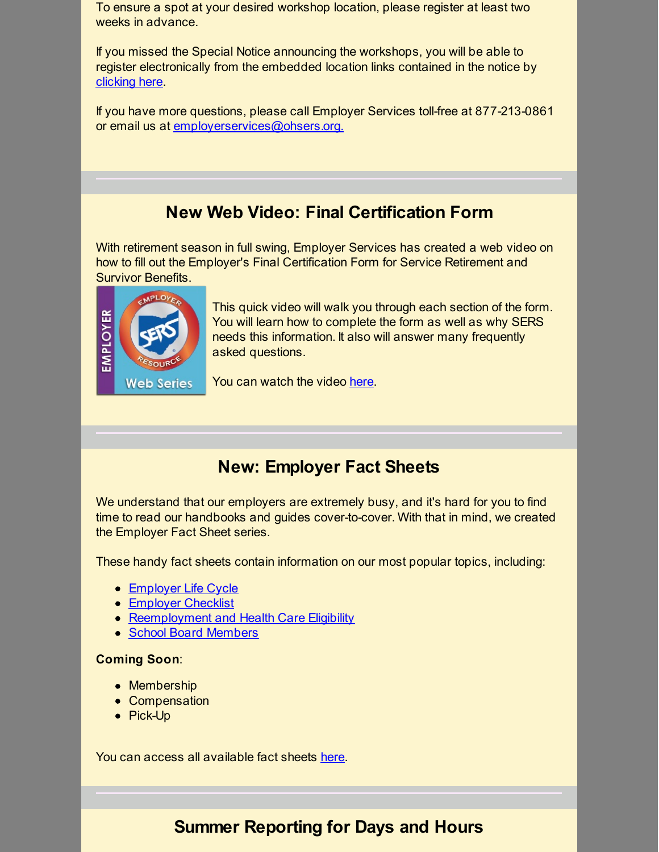To ensure a spot at your desired workshop location, please register at least two weeks in advance.

If you missed the Special Notice announcing the workshops, you will be able to register electronically from the embedded location links contained in the notice by [clicking](http://r20.rs6.net/tn.jsp?f=001BHyOvUG8k17RBuEQGbfS0GqZ_ji9ZKkUGyyKYygInJRJtp5pFN7JrQQ9O37uX1slWx7zCMCVGna2Aj2T4UdKJStJlbYsAUlyFsaSml3v8i1bza3r1ip99JP0nzjqlltbS_wmH6MgN5JmHeEGLek_bIqrA9ppJ9dG7ikkZppa8RT6s5l7XciasCk_-ChAHhZqZD77Jp-2t3Q=&c=&ch=) here.

If you have more questions, please call Employer Services toll-free at 877-213-0861 or email us at [employerservices@ohsers.org.](mailto:employerservices@ohsers.org)

# **New Web Video: Final Certification Form**

With retirement season in full swing, Employer Services has created a web video on how to fill out the Employer's Final Certification Form for Service Retirement and Survivor Benefits.



This quick video will walk you through each section of the form. You will learn how to complete the form as well as why SERS needs this information. It also will answer many frequently asked questions.

You can watch the video [here](http://r20.rs6.net/tn.jsp?f=001BHyOvUG8k17RBuEQGbfS0GqZ_ji9ZKkUGyyKYygInJRJtp5pFN7JrQQ9O37uX1slVFuEUeRCZCq_NmISBFBfbt8MEtYPXk9RvqfPAjLD95J2d_fCYEH5uOPZNjmWkgX0C20QRg3VazudV4GXhj4ebnmJVnu59g9gI_wyhjFPqxLbw3EikXUXE-PXDCCdBJShjDHwzFfhVcM=&c=&ch=).

# **New: Employer Fact Sheets**

We understand that our employers are extremely busy, and it's hard for you to find time to read our handbooks and guides cover-to-cover. With that in mind, we created the Employer Fact Sheet series.

These handy fact sheets contain information on our most popular topics, including:

- **[Employer](http://r20.rs6.net/tn.jsp?f=001BHyOvUG8k17RBuEQGbfS0GqZ_ji9ZKkUGyyKYygInJRJtp5pFN7JrTBcKsBgjjnwUfe8EvODJ7xoOwAdSNm59UMEc75Elb9dpqt_AJfK0pwOny9Gx1C1bumj8ij_pjWTK5tVRZ2ySitCWXCSC_5vg6sLxsgWhrsSiAXbUym_-pT2JbVtMKcQjR2TDmvxP4klARiLPkxG2Y4=&c=&ch=) Life Cycle**
- **[Employer](http://r20.rs6.net/tn.jsp?f=001BHyOvUG8k17RBuEQGbfS0GqZ_ji9ZKkUGyyKYygInJRJtp5pFN7JrTBcKsBgjjnw_Dm2879XuzgNU_yoTy3CSo9Eu2tChh_PRTSKb7lLjuDOqq4oa3JcctL-g2chA5GTegcaWB7e8czfFvJ97KLYypm1mGhxasdENPa7M0VgX-LdDNRWBO9-5AsUvrSPKsCV&c=&ch=) Checklist**
- [Reemployment](http://r20.rs6.net/tn.jsp?f=001BHyOvUG8k17RBuEQGbfS0GqZ_ji9ZKkUGyyKYygInJRJtp5pFN7JrTBcKsBgjjnwjSn-V41jyPRSqovW1DMbLPumSIx56JI-YFEdJ1SNB2OQgxbiNEGxqkkHHIB5wFhp1o3FSMazjIBx8j4ktPndGh173t7CYBEDDTYw6Sf-kVB5052upFeH_mgQN3eCvjIxap1Nw_gUWwo=&c=&ch=) and Health Care Eligibility
- School Board [Members](http://r20.rs6.net/tn.jsp?f=001BHyOvUG8k17RBuEQGbfS0GqZ_ji9ZKkUGyyKYygInJRJtp5pFN7JrTqTtHHf3667hQx2X1_RXNTYff6g2ezQGst_59j_DhH8Q0OufL6_UyevgWNNXdkWVQhCz_xMVy6tSzwpecsQwRdDeEhn5UkXYTKbQZgyheXDNUIItWMIZpfNQBEC-DD5teXbxQlXVSjuS10mA6OwUPk=&c=&ch=)

### **Coming Soon**:

- Membership
- Compensation
- Pick-Up

You can access all available fact sheets [here](http://r20.rs6.net/tn.jsp?f=001BHyOvUG8k17RBuEQGbfS0GqZ_ji9ZKkUGyyKYygInJRJtp5pFN7Jrbdyx3RKgXfjVT4mrX9SmnYuwxBfG9vZSqTlwEXd3WN1M90R94rOwzw-wn_doMuWDQAhHcOpiWgcDjYyJhuoCNobol0795KQIJ7vzoQ6VmwhEv6KY8lotWo1EfMguZPYJFrfQ6TCf77BxE08zswgItA=&c=&ch=).

## **Summer Reporting for Days and Hours**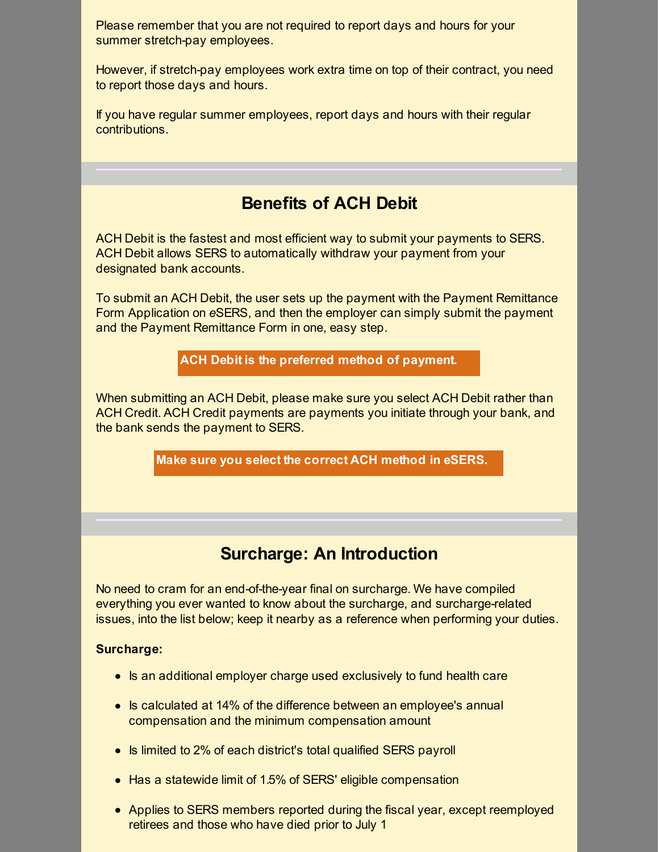Please remember that you are not required to report days and hours for your summer stretch-pay employees.

However, if stretch-pay employees work extra time on top of their contract, you need to report those days and hours.

If you have regular summer employees, report days and hours with their regular contributions.

# **Benefits of ACH Debit**

ACH Debit is the fastest and most efficient way to submit your payments to SERS. ACH Debit allows SERS to automatically withdraw your payment from your designated bank accounts.

To submit an ACH Debit, the user sets up the payment with the Payment Remittance Form Application on *e*SERS, and then the employer can simply submit the payment and the Payment Remittance Form in one, easy step.

**ACH Debit is the preferred method of payment.**

When submitting an ACH Debit, please make sure you select ACH Debit rather than ACH Credit. ACH Credit payments are payments you initiate through your bank, and the bank sends the payment to SERS.

**Make sure you select the correct ACH method in eSERS.**

## **Surcharge: An Introduction**

No need to cram for an end-of-the-year final on surcharge. We have compiled everything you ever wanted to know about the surcharge, and surcharge-related issues, into the list below; keep it nearby as a reference when performing your duties.

### **Surcharge:**

- Is an additional employer charge used exclusively to fund health care
- Is calculated at 14% of the difference between an employee's annual compensation and the minimum compensation amount
- Is limited to 2% of each district's total qualified SERS payroll
- Has a statewide limit of 1.5% of SERS' eligible compensation
- Applies to SERS members reported during the fiscal year, except reemployed retirees and those who have died prior to July 1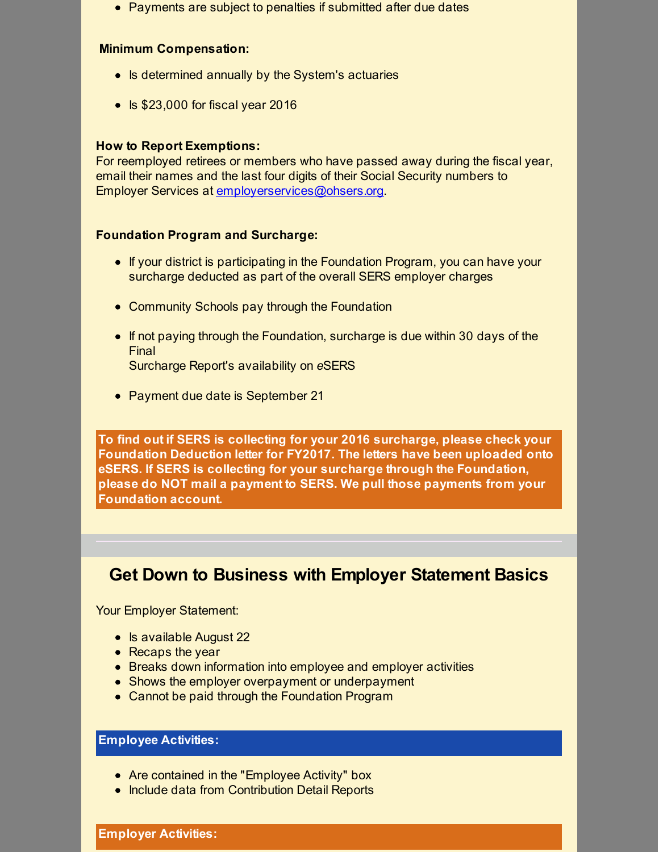• Payments are subject to penalties if submitted after due dates

#### **Minimum Compensation:**

- Is determined annually by the System's actuaries
- $\cdot$  Is \$23,000 for fiscal year 2016

#### **How to Report Exemptions:**

For reemployed retirees or members who have passed away during the fiscal year, email their names and the last four digits of their Social Security numbers to Employer Services at [employerservices@ohsers.org](mailto:employerservices@ohsers.org).

#### **Foundation Program and Surcharge:**

- If your district is participating in the Foundation Program, you can have your surcharge deducted as part of the overall SERS employer charges
- Community Schools pay through the Foundation
- If not paying through the Foundation, surcharge is due within 30 days of the Final Surcharge Report's availability on *e*SERS
- Payment due date is September 21

**To find out if SERS is collecting for your 2016 surcharge, please check your Foundation Deduction letter for FY2017. The letters have been uploaded onto eSERS. If SERS is collecting for your surcharge through the Foundation, please do NOT mail a payment to SERS. We pull those payments from your Foundation account.**

### **Get Down to Business with Employer Statement Basics**

Your Employer Statement:

- $\bullet$  Is available August 22
- Recaps the year
- Breaks down information into employee and employer activities
- Shows the employer overpayment or underpayment
- Cannot be paid through the Foundation Program

### **Employee Activities:**

- Are contained in the "Employee Activity" box
- Include data from Contribution Detail Reports

**Employer Activities:**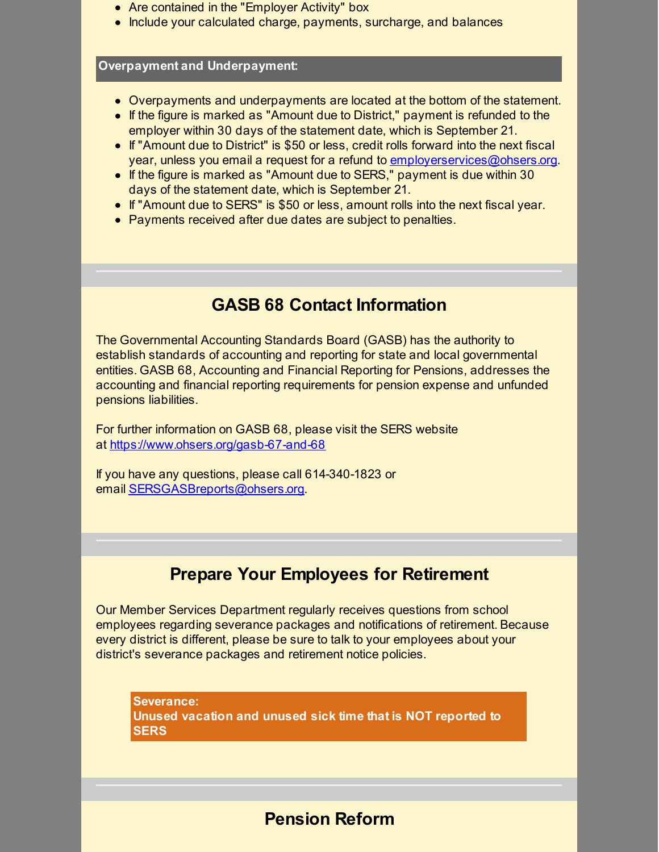- Are contained in the "Employer Activity" box
- Include your calculated charge, payments, surcharge, and balances

#### **Overpayment and Underpayment:**

- Overpayments and underpayments are located at the bottom of the statement.
- If the figure is marked as "Amount due to District," payment is refunded to the employer within 30 days of the statement date, which is September 21.
- If "Amount due to District" is \$50 or less, credit rolls forward into the next fiscal year, unless you email a request for a refund to [employerservices@ohsers.org](mailto:employerservices@ohsers.org).
- If the figure is marked as "Amount due to SERS," payment is due within 30 days of the statement date, which is September 21.
- If "Amount due to SERS" is \$50 or less, amount rolls into the next fiscal year.
- Payments received after due dates are subject to penalties.

## **GASB 68 Contact Information**

The Governmental Accounting Standards Board (GASB) has the authority to establish standards of accounting and reporting for state and local governmental entities. GASB 68, Accounting and Financial Reporting for Pensions, addresses the accounting and financial reporting requirements for pension expense and unfunded pensions liabilities.

For further information on GASB 68, please visit the SERS website at [https://www.ohsers.org/gasb-67-and-68](http://r20.rs6.net/tn.jsp?f=001BHyOvUG8k17RBuEQGbfS0GqZ_ji9ZKkUGyyKYygInJRJtp5pFN7JrWUinD8-PE6k54wvDk2WcavYygmUjHTRKjPppZef0uhTmrw3-tBTjanl4L8ZFUyrcWMNZr6JHxkoHgCco_B10BT72qTrzWHShZ-rpbMHL85BEm4pbMi0eajeNFHbGHmN_Y1n_YqekJL5&c=&ch=)

If you have any questions, please call 614-340-1823 or email [SERSGASBreports@ohsers.org](mailto:SERSGASBreports@ohsers.org).

## **Prepare Your Employees for Retirement**

Our Member Services Department regularly receives questions from school employees regarding severance packages and notifications of retirement. Because every district is different, please be sure to talk to your employees about your district's severance packages and retirement notice policies.

**Severance: Unused vacation and unused sick time that is NOT reported to SERS**

## **Pension Reform**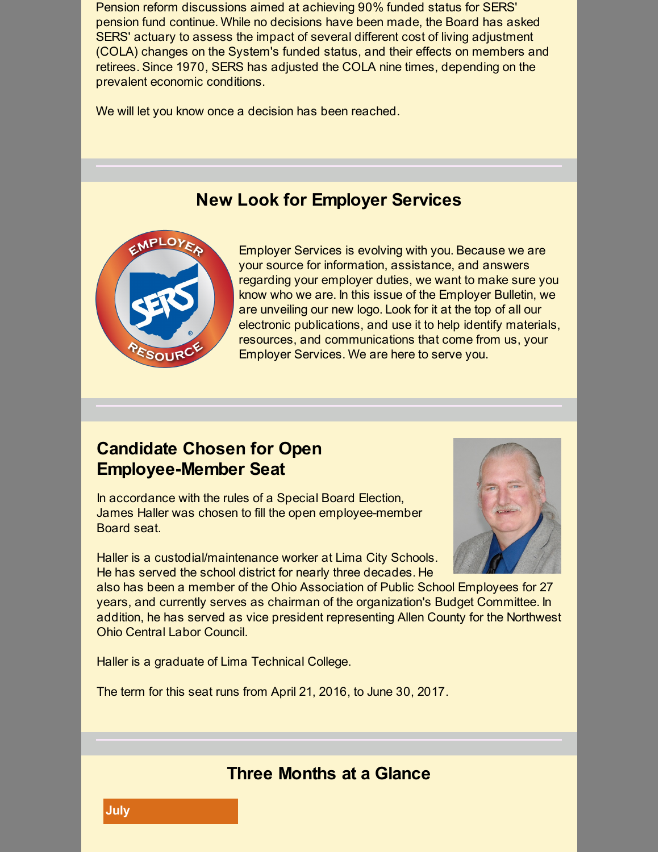Pension reform discussions aimed at achieving 90% funded status for SERS' pension fund continue. While no decisions have been made, the Board has asked SERS' actuary to assess the impact of several different cost of living adjustment (COLA) changes on the System's funded status, and their effects on members and retirees. Since 1970, SERS has adjusted the COLA nine times, depending on the prevalent economic conditions.

We will let you know once a decision has been reached.

## **New Look for Employer Services**



Employer Services is evolving with you. Because we are your source for information, assistance, and answers regarding your employer duties, we want to make sure you know who we are. In this issue of the Employer Bulletin, we are unveiling our new logo. Look for it at the top of all our electronic publications, and use it to help identify materials, resources, and communications that come from us, your Employer Services. We are here to serve you.

## **Candidate Chosen for Open Employee-Member Seat**

In accordance with the rules of a Special Board Election, James Haller was chosen to fill the open employee-member Board seat.

Haller is a custodial/maintenance worker at Lima City Schools. He has served the school district for nearly three decades. He



also has been a member of the Ohio Association of Public School Employees for 27 years, and currently serves as chairman of the organization's Budget Committee. In addition, he has served as vice president representing Allen County for the Northwest Ohio Central Labor Council.

Haller is a graduate of Lima Technical College.

The term for this seat runs from April 21, 2016, to June 30, 2017.

## **Three Months at a Glance**